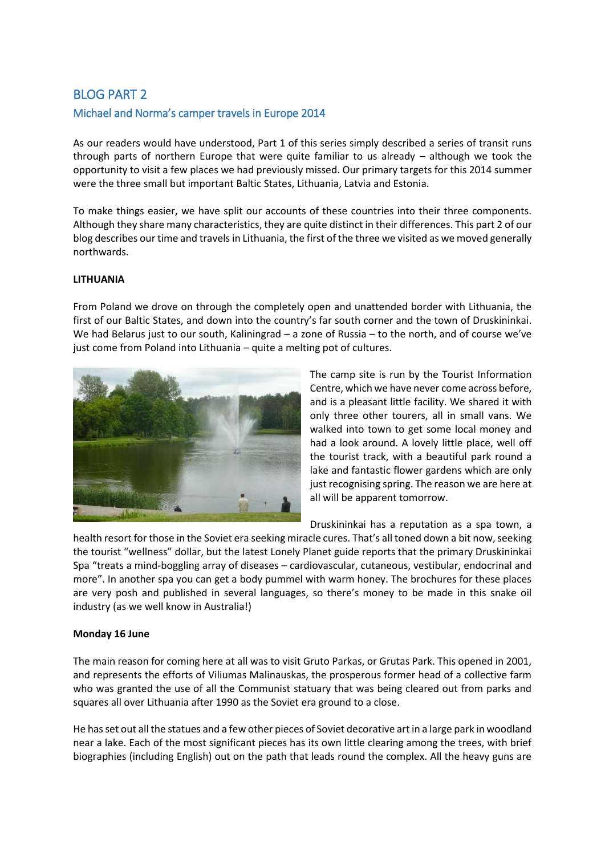# BLOG PART 2

# Michael and Norma's camper travels in Europe 2014

As our readers would have understood, Part 1 of this series simply described a series of transit runs through parts of northern Europe that were quite familiar to us already – although we took the opportunity to visit a few places we had previously missed. Our primary targets for this 2014 summer were the three small but important Baltic States, Lithuania, Latvia and Estonia.

To make things easier, we have split our accounts of these countries into their three components. Although they share many characteristics, they are quite distinct in their differences. This part 2 of our blog describes our time and travels in Lithuania, the first of the three we visited as we moved generally northwards.

# **LITHUANIA**

From Poland we drove on through the completely open and unattended border with Lithuania, the first of our Baltic States, and down into the country's far south corner and the town of Druskininkai. We had Belarus just to our south, Kaliningrad – a zone of Russia – to the north, and of course we've just come from Poland into Lithuania – quite a melting pot of cultures.



The camp site is run by the Tourist Information Centre, which we have never come across before, and is a pleasant little facility. We shared it with only three other tourers, all in small vans. We walked into town to get some local money and had a look around. A lovely little place, well off the tourist track, with a beautiful park round a lake and fantastic flower gardens which are only just recognising spring. The reason we are here at all will be apparent tomorrow.

Druskininkai has a reputation as a spa town, a

health resort for those in the Soviet era seeking miracle cures. That's all toned down a bit now, seeking the tourist "wellness" dollar, but the latest Lonely Planet guide reports that the primary Druskininkai Spa "treats a mind-boggling array of diseases – cardiovascular, cutaneous, vestibular, endocrinal and more". In another spa you can get a body pummel with warm honey. The brochures for these places are very posh and published in several languages, so there's money to be made in this snake oil industry (as we well know in Australia!)

### **Monday 16 June**

The main reason for coming here at all was to visit Gruto Parkas, or Grutas Park. This opened in 2001, and represents the efforts of Viliumas Malinauskas, the prosperous former head of a collective farm who was granted the use of all the Communist statuary that was being cleared out from parks and squares all over Lithuania after 1990 as the Soviet era ground to a close.

He has set out all the statues and a few other pieces of Soviet decorative art in a large park in woodland near a lake. Each of the most significant pieces has its own little clearing among the trees, with brief biographies (including English) out on the path that leads round the complex. All the heavy guns are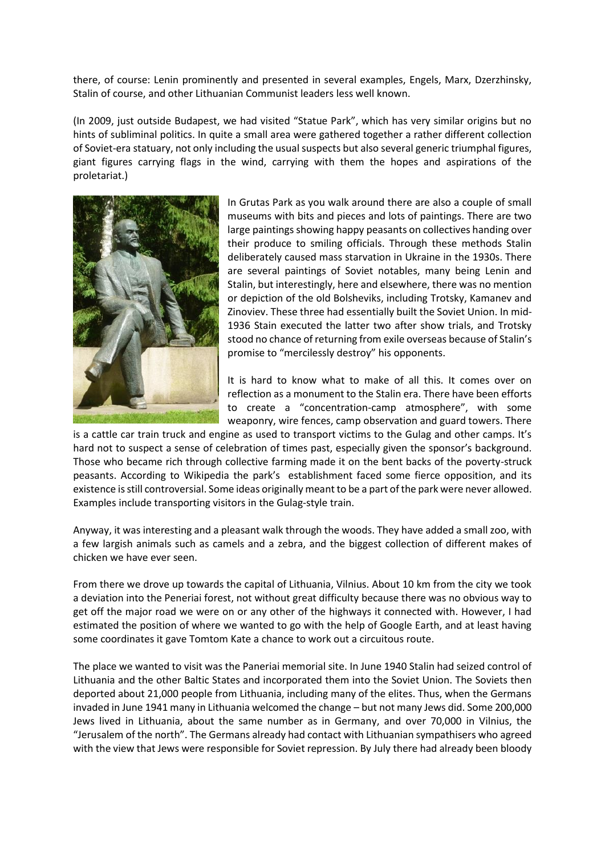there, of course: Lenin prominently and presented in several examples, Engels, Marx, Dzerzhinsky, Stalin of course, and other Lithuanian Communist leaders less well known.

(In 2009, just outside Budapest, we had visited "Statue Park", which has very similar origins but no hints of subliminal politics. In quite a small area were gathered together a rather different collection of Soviet-era statuary, not only including the usual suspects but also several generic triumphal figures, giant figures carrying flags in the wind, carrying with them the hopes and aspirations of the proletariat.)



In Grutas Park as you walk around there are also a couple of small museums with bits and pieces and lots of paintings. There are two large paintings showing happy peasants on collectives handing over their produce to smiling officials. Through these methods Stalin deliberately caused mass starvation in Ukraine in the 1930s. There are several paintings of Soviet notables, many being Lenin and Stalin, but interestingly, here and elsewhere, there was no mention or depiction of the old Bolsheviks, including Trotsky, Kamanev and Zinoviev. These three had essentially built the Soviet Union. In mid-1936 Stain executed the latter two after show trials, and Trotsky stood no chance of returning from exile overseas because of Stalin's promise to "mercilessly destroy" his opponents.

It is hard to know what to make of all this. It comes over on reflection as a monument to the Stalin era. There have been efforts to create a "concentration-camp atmosphere", with some weaponry, wire fences, camp observation and guard towers. There

is a cattle car train truck and engine as used to transport victims to the Gulag and other camps. It's hard not to suspect a sense of celebration of times past, especially given the sponsor's background. Those who became rich through collective farming made it on the bent backs of the poverty-struck peasants. According to Wikipedia the park's establishment faced some fierce opposition, and its existence is still controversial. Some ideas originally meant to be a part of the park were never allowed. Examples include transporting visitors in the Gulag-style train.

Anyway, it was interesting and a pleasant walk through the woods. They have added a small zoo, with a few largish animals such as camels and a zebra, and the biggest collection of different makes of chicken we have ever seen.

From there we drove up towards the capital of Lithuania, Vilnius. About 10 km from the city we took a deviation into the Peneriai forest, not without great difficulty because there was no obvious way to get off the major road we were on or any other of the highways it connected with. However, I had estimated the position of where we wanted to go with the help of Google Earth, and at least having some coordinates it gave Tomtom Kate a chance to work out a circuitous route.

The place we wanted to visit was the Paneriai memorial site. In June 1940 Stalin had seized control of Lithuania and the other Baltic States and incorporated them into the Soviet Union. The Soviets then deported about 21,000 people from Lithuania, including many of the elites. Thus, when the Germans invaded in June 1941 many in Lithuania welcomed the change – but not many Jews did. Some 200,000 Jews lived in Lithuania, about the same number as in Germany, and over 70,000 in Vilnius, the "Jerusalem of the north". The Germans already had contact with Lithuanian sympathisers who agreed with the view that Jews were responsible for Soviet repression. By July there had already been bloody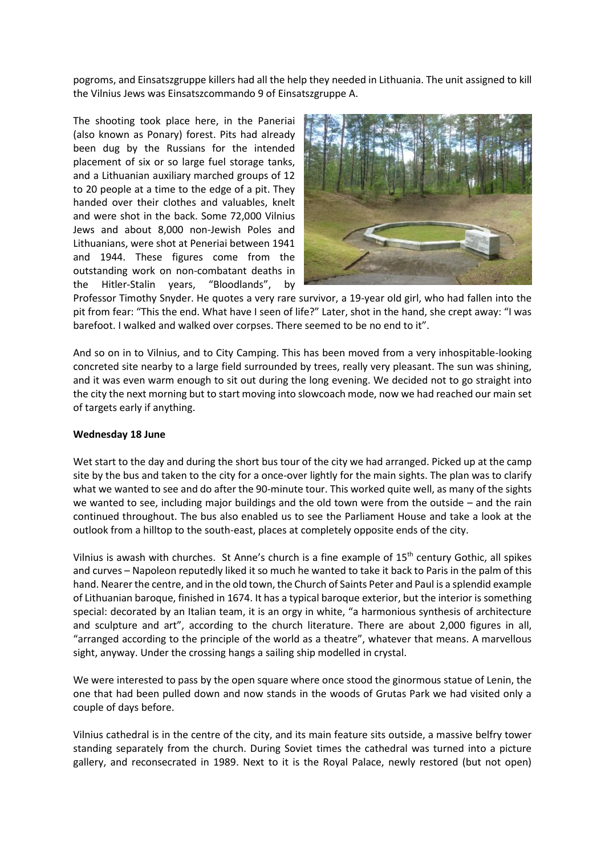pogroms, and Einsatszgruppe killers had all the help they needed in Lithuania. The unit assigned to kill the Vilnius Jews was Einsatszcommando 9 of Einsatszgruppe A.

The shooting took place here, in the Paneriai (also known as Ponary) forest. Pits had already been dug by the Russians for the intended placement of six or so large fuel storage tanks, and a Lithuanian auxiliary marched groups of 12 to 20 people at a time to the edge of a pit. They handed over their clothes and valuables, knelt and were shot in the back. Some 72,000 Vilnius Jews and about 8,000 non-Jewish Poles and Lithuanians, were shot at Peneriai between 1941 and 1944. These figures come from the outstanding work on non-combatant deaths in the Hitler-Stalin years, "Bloodlands", by



Professor Timothy Snyder. He quotes a very rare survivor, a 19-year old girl, who had fallen into the pit from fear: "This the end. What have I seen of life?" Later, shot in the hand, she crept away: "I was barefoot. I walked and walked over corpses. There seemed to be no end to it".

And so on in to Vilnius, and to City Camping. This has been moved from a very inhospitable-looking concreted site nearby to a large field surrounded by trees, really very pleasant. The sun was shining, and it was even warm enough to sit out during the long evening. We decided not to go straight into the city the next morning but to start moving into slowcoach mode, now we had reached our main set of targets early if anything.

# **Wednesday 18 June**

Wet start to the day and during the short bus tour of the city we had arranged. Picked up at the camp site by the bus and taken to the city for a once-over lightly for the main sights. The plan was to clarify what we wanted to see and do after the 90-minute tour. This worked quite well, as many of the sights we wanted to see, including major buildings and the old town were from the outside – and the rain continued throughout. The bus also enabled us to see the Parliament House and take a look at the outlook from a hilltop to the south-east, places at completely opposite ends of the city.

Vilnius is awash with churches. St Anne's church is a fine example of 15<sup>th</sup> century Gothic, all spikes and curves – Napoleon reputedly liked it so much he wanted to take it back to Paris in the palm of this hand. Nearer the centre, and in the old town, the Church of Saints Peter and Paul is a splendid example of Lithuanian baroque, finished in 1674. It has a typical baroque exterior, but the interior is something special: decorated by an Italian team, it is an orgy in white, "a harmonious synthesis of architecture and sculpture and art", according to the church literature. There are about 2,000 figures in all, "arranged according to the principle of the world as a theatre", whatever that means. A marvellous sight, anyway. Under the crossing hangs a sailing ship modelled in crystal.

We were interested to pass by the open square where once stood the ginormous statue of Lenin, the one that had been pulled down and now stands in the woods of Grutas Park we had visited only a couple of days before.

Vilnius cathedral is in the centre of the city, and its main feature sits outside, a massive belfry tower standing separately from the church. During Soviet times the cathedral was turned into a picture gallery, and reconsecrated in 1989. Next to it is the Royal Palace, newly restored (but not open)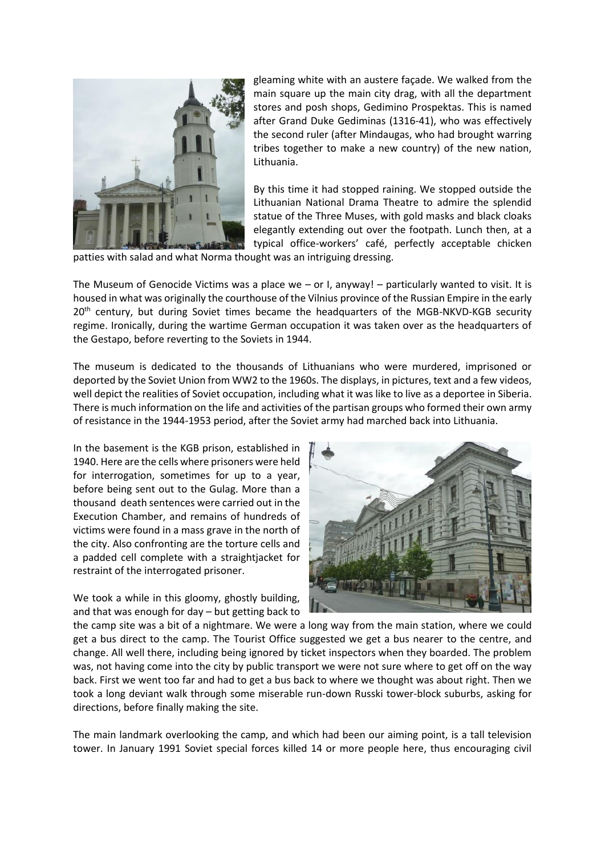

gleaming white with an austere façade. We walked from the main square up the main city drag, with all the department stores and posh shops, Gedimino Prospektas. This is named after Grand Duke Gediminas (1316-41), who was effectively the second ruler (after Mindaugas, who had brought warring tribes together to make a new country) of the new nation, Lithuania.

By this time it had stopped raining. We stopped outside the Lithuanian National Drama Theatre to admire the splendid statue of the Three Muses, with gold masks and black cloaks elegantly extending out over the footpath. Lunch then, at a typical office-workers' café, perfectly acceptable chicken

patties with salad and what Norma thought was an intriguing dressing.

The Museum of Genocide Victims was a place we – or I, anyway! – particularly wanted to visit. It is housed in what was originally the courthouse of the Vilnius province of the Russian Empire in the early 20<sup>th</sup> century, but during Soviet times became the headquarters of the MGB-NKVD-KGB security regime. Ironically, during the wartime German occupation it was taken over as the headquarters of the Gestapo, before reverting to the Soviets in 1944.

The museum is dedicated to the thousands of Lithuanians who were murdered, imprisoned or deported by the Soviet Union from WW2 to the 1960s. The displays, in pictures, text and a few videos, well depict the realities of Soviet occupation, including what it was like to live as a deportee in Siberia. There is much information on the life and activities of the partisan groups who formed their own army of resistance in the 1944-1953 period, after the Soviet army had marched back into Lithuania.

In the basement is the KGB prison, established in 1940. Here are the cells where prisoners were held for interrogation, sometimes for up to a year, before being sent out to the Gulag. More than a thousand death sentences were carried out in the Execution Chamber, and remains of hundreds of victims were found in a mass grave in the north of the city. Also confronting are the torture cells and a padded cell complete with a straightjacket for restraint of the interrogated prisoner.

We took a while in this gloomy, ghostly building, and that was enough for day – but getting back to



the camp site was a bit of a nightmare. We were a long way from the main station, where we could get a bus direct to the camp. The Tourist Office suggested we get a bus nearer to the centre, and change. All well there, including being ignored by ticket inspectors when they boarded. The problem was, not having come into the city by public transport we were not sure where to get off on the way back. First we went too far and had to get a bus back to where we thought was about right. Then we took a long deviant walk through some miserable run-down Russki tower-block suburbs, asking for directions, before finally making the site.

The main landmark overlooking the camp, and which had been our aiming point, is a tall television tower. In January 1991 Soviet special forces killed 14 or more people here, thus encouraging civil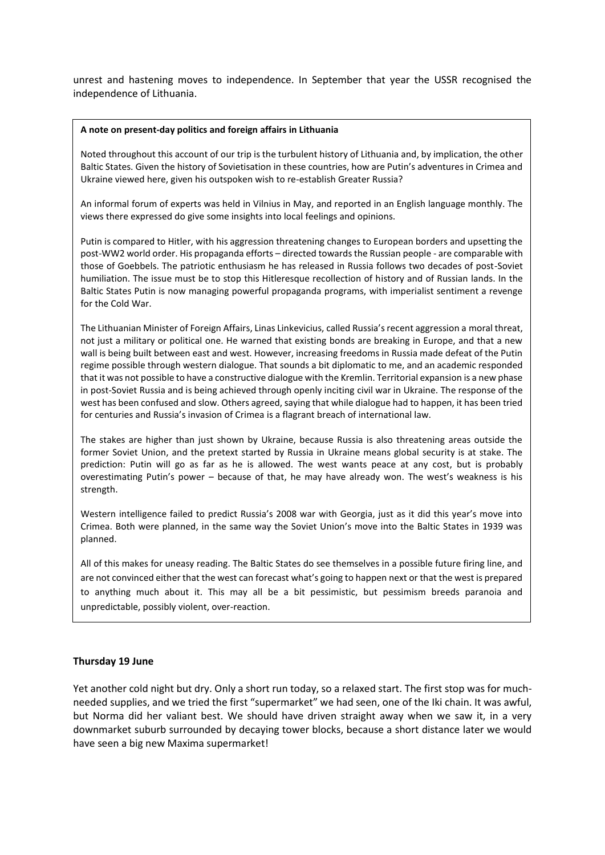unrest and hastening moves to independence. In September that year the USSR recognised the independence of Lithuania.

#### **A note on present-day politics and foreign affairs in Lithuania**

Noted throughout this account of our trip is the turbulent history of Lithuania and, by implication, the other Baltic States. Given the history of Sovietisation in these countries, how are Putin's adventures in Crimea and Ukraine viewed here, given his outspoken wish to re-establish Greater Russia?

An informal forum of experts was held in Vilnius in May, and reported in an English language monthly. The views there expressed do give some insights into local feelings and opinions.

Putin is compared to Hitler, with his aggression threatening changes to European borders and upsetting the post-WW2 world order. His propaganda efforts – directed towards the Russian people - are comparable with those of Goebbels. The patriotic enthusiasm he has released in Russia follows two decades of post-Soviet humiliation. The issue must be to stop this Hitleresque recollection of history and of Russian lands. In the Baltic States Putin is now managing powerful propaganda programs, with imperialist sentiment a revenge for the Cold War.

The Lithuanian Minister of Foreign Affairs, Linas Linkevicius, called Russia's recent aggression a moral threat, not just a military or political one. He warned that existing bonds are breaking in Europe, and that a new wall is being built between east and west. However, increasing freedoms in Russia made defeat of the Putin regime possible through western dialogue. That sounds a bit diplomatic to me, and an academic responded that it was not possible to have a constructive dialogue with the Kremlin. Territorial expansion is a new phase in post-Soviet Russia and is being achieved through openly inciting civil war in Ukraine. The response of the west has been confused and slow. Others agreed, saying that while dialogue had to happen, it has been tried for centuries and Russia's invasion of Crimea is a flagrant breach of international law.

The stakes are higher than just shown by Ukraine, because Russia is also threatening areas outside the former Soviet Union, and the pretext started by Russia in Ukraine means global security is at stake. The prediction: Putin will go as far as he is allowed. The west wants peace at any cost, but is probably overestimating Putin's power – because of that, he may have already won. The west's weakness is his strength.

Western intelligence failed to predict Russia's 2008 war with Georgia, just as it did this year's move into Crimea. Both were planned, in the same way the Soviet Union's move into the Baltic States in 1939 was planned.

All of this makes for uneasy reading. The Baltic States do see themselves in a possible future firing line, and are not convinced either that the west can forecast what's going to happen next or that the west is prepared to anything much about it. This may all be a bit pessimistic, but pessimism breeds paranoia and unpredictable, possibly violent, over-reaction.

### **Thursday 19 June**

Yet another cold night but dry. Only a short run today, so a relaxed start. The first stop was for muchneeded supplies, and we tried the first "supermarket" we had seen, one of the Iki chain. It was awful, but Norma did her valiant best. We should have driven straight away when we saw it, in a very downmarket suburb surrounded by decaying tower blocks, because a short distance later we would have seen a big new Maxima supermarket!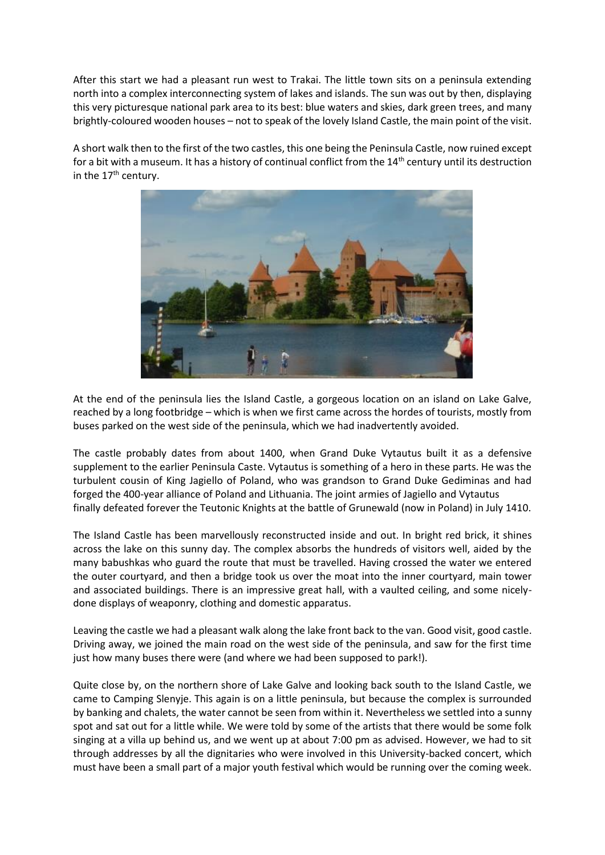After this start we had a pleasant run west to Trakai. The little town sits on a peninsula extending north into a complex interconnecting system of lakes and islands. The sun was out by then, displaying this very picturesque national park area to its best: blue waters and skies, dark green trees, and many brightly-coloured wooden houses – not to speak of the lovely Island Castle, the main point of the visit.

A short walk then to the first of the two castles, this one being the Peninsula Castle, now ruined except for a bit with a museum. It has a history of continual conflict from the 14<sup>th</sup> century until its destruction in the 17<sup>th</sup> century.



At the end of the peninsula lies the Island Castle, a gorgeous location on an island on Lake Galve, reached by a long footbridge – which is when we first came across the hordes of tourists, mostly from buses parked on the west side of the peninsula, which we had inadvertently avoided.

The castle probably dates from about 1400, when Grand Duke Vytautus built it as a defensive supplement to the earlier Peninsula Caste. Vytautus is something of a hero in these parts. He was the turbulent cousin of King Jagiello of Poland, who was grandson to Grand Duke Gediminas and had forged the 400-year alliance of Poland and Lithuania. The joint armies of Jagiello and Vytautus finally defeated forever the Teutonic Knights at the battle of Grunewald (now in Poland) in July 1410.

The Island Castle has been marvellously reconstructed inside and out. In bright red brick, it shines across the lake on this sunny day. The complex absorbs the hundreds of visitors well, aided by the many babushkas who guard the route that must be travelled. Having crossed the water we entered the outer courtyard, and then a bridge took us over the moat into the inner courtyard, main tower and associated buildings. There is an impressive great hall, with a vaulted ceiling, and some nicelydone displays of weaponry, clothing and domestic apparatus.

Leaving the castle we had a pleasant walk along the lake front back to the van. Good visit, good castle. Driving away, we joined the main road on the west side of the peninsula, and saw for the first time just how many buses there were (and where we had been supposed to park!).

Quite close by, on the northern shore of Lake Galve and looking back south to the Island Castle, we came to Camping Slenyje. This again is on a little peninsula, but because the complex is surrounded by banking and chalets, the water cannot be seen from within it. Nevertheless we settled into a sunny spot and sat out for a little while. We were told by some of the artists that there would be some folk singing at a villa up behind us, and we went up at about 7:00 pm as advised. However, we had to sit through addresses by all the dignitaries who were involved in this University-backed concert, which must have been a small part of a major youth festival which would be running over the coming week.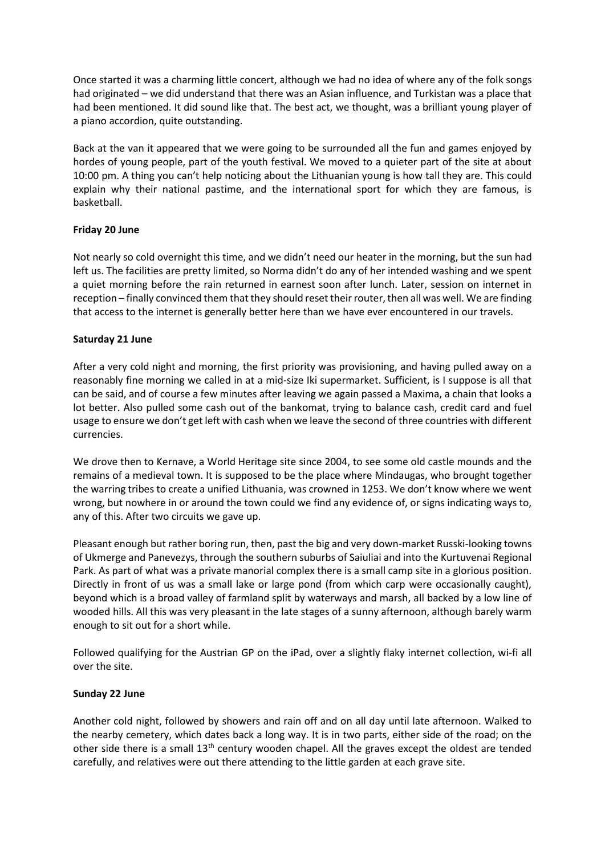Once started it was a charming little concert, although we had no idea of where any of the folk songs had originated – we did understand that there was an Asian influence, and Turkistan was a place that had been mentioned. It did sound like that. The best act, we thought, was a brilliant young player of a piano accordion, quite outstanding.

Back at the van it appeared that we were going to be surrounded all the fun and games enjoyed by hordes of young people, part of the youth festival. We moved to a quieter part of the site at about 10:00 pm. A thing you can't help noticing about the Lithuanian young is how tall they are. This could explain why their national pastime, and the international sport for which they are famous, is basketball.

# **Friday 20 June**

Not nearly so cold overnight this time, and we didn't need our heater in the morning, but the sun had left us. The facilities are pretty limited, so Norma didn't do any of her intended washing and we spent a quiet morning before the rain returned in earnest soon after lunch. Later, session on internet in reception – finally convinced them that they should reset their router, then all was well. We are finding that access to the internet is generally better here than we have ever encountered in our travels.

# **Saturday 21 June**

After a very cold night and morning, the first priority was provisioning, and having pulled away on a reasonably fine morning we called in at a mid-size Iki supermarket. Sufficient, is I suppose is all that can be said, and of course a few minutes after leaving we again passed a Maxima, a chain that looks a lot better. Also pulled some cash out of the bankomat, trying to balance cash, credit card and fuel usage to ensure we don't get left with cash when we leave the second of three countries with different currencies.

We drove then to Kernave, a World Heritage site since 2004, to see some old castle mounds and the remains of a medieval town. It is supposed to be the place where Mindaugas, who brought together the warring tribes to create a unified Lithuania, was crowned in 1253. We don't know where we went wrong, but nowhere in or around the town could we find any evidence of, or signs indicating ways to, any of this. After two circuits we gave up.

Pleasant enough but rather boring run, then, past the big and very down-market Russki-looking towns of Ukmerge and Panevezys, through the southern suburbs of Saiuliai and into the Kurtuvenai Regional Park. As part of what was a private manorial complex there is a small camp site in a glorious position. Directly in front of us was a small lake or large pond (from which carp were occasionally caught), beyond which is a broad valley of farmland split by waterways and marsh, all backed by a low line of wooded hills. All this was very pleasant in the late stages of a sunny afternoon, although barely warm enough to sit out for a short while.

Followed qualifying for the Austrian GP on the iPad, over a slightly flaky internet collection, wi-fi all over the site.

# **Sunday 22 June**

Another cold night, followed by showers and rain off and on all day until late afternoon. Walked to the nearby cemetery, which dates back a long way. It is in two parts, either side of the road; on the other side there is a small 13<sup>th</sup> century wooden chapel. All the graves except the oldest are tended carefully, and relatives were out there attending to the little garden at each grave site.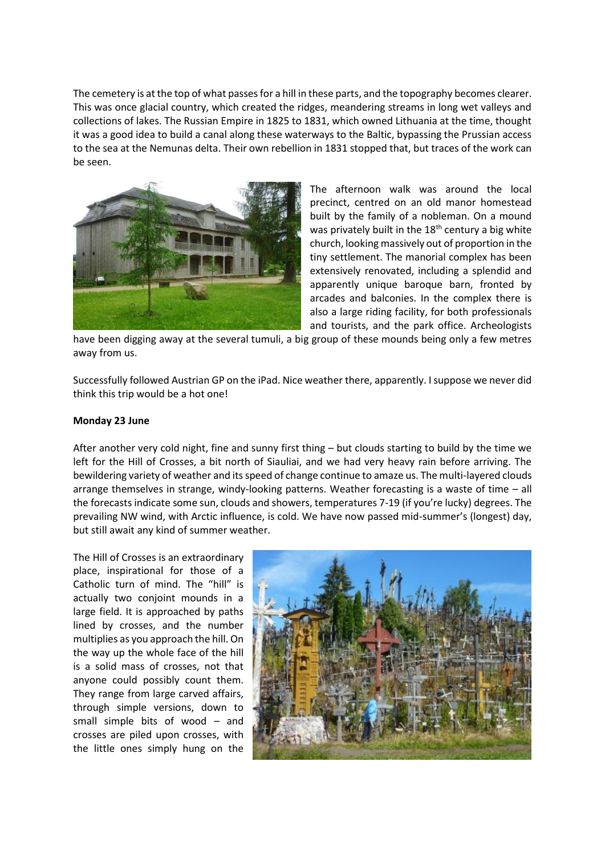The cemetery is at the top of what passes for a hill in these parts, and the topography becomes clearer. This was once glacial country, which created the ridges, meandering streams in long wet valleys and collections of lakes. The Russian Empire in 1825 to 1831, which owned Lithuania at the time, thought it was a good idea to build a canal along these waterways to the Baltic, bypassing the Prussian access to the sea at the Nemunas delta. Their own rebellion in 1831 stopped that, but traces of the work can be seen.



The afternoon walk was around the local precinct, centred on an old manor homestead built by the family of a nobleman. On a mound was privately built in the  $18<sup>th</sup>$  century a big white church, looking massively out of proportion in the tiny settlement. The manorial complex has been extensively renovated, including a splendid and apparently unique baroque barn, fronted by arcades and balconies. In the complex there is also a large riding facility, for both professionals and tourists, and the park office. Archeologists

have been digging away at the several tumuli, a big group of these mounds being only a few metres away from us.

Successfully followed Austrian GP on the iPad. Nice weather there, apparently. I suppose we never did think this trip would be a hot one!

### **Monday 23 June**

After another very cold night, fine and sunny first thing – but clouds starting to build by the time we left for the Hill of Crosses, a bit north of Siauliai, and we had very heavy rain before arriving. The bewildering variety of weather and its speed of change continue to amaze us. The multi-layered clouds arrange themselves in strange, windy-looking patterns. Weather forecasting is a waste of time – all the forecasts indicate some sun, clouds and showers, temperatures 7-19 (if you're lucky) degrees. The prevailing NW wind, with Arctic influence, is cold. We have now passed mid-summer's (longest) day, but still await any kind of summer weather.

The Hill of Crosses is an extraordinary place, inspirational for those of a Catholic turn of mind. The "hill" is actually two conjoint mounds in a large field. It is approached by paths lined by crosses, and the number multiplies as you approach the hill. On the way up the whole face of the hill is a solid mass of crosses, not that anyone could possibly count them. They range from large carved affairs, through simple versions, down to small simple bits of wood – and crosses are piled upon crosses, with the little ones simply hung on the

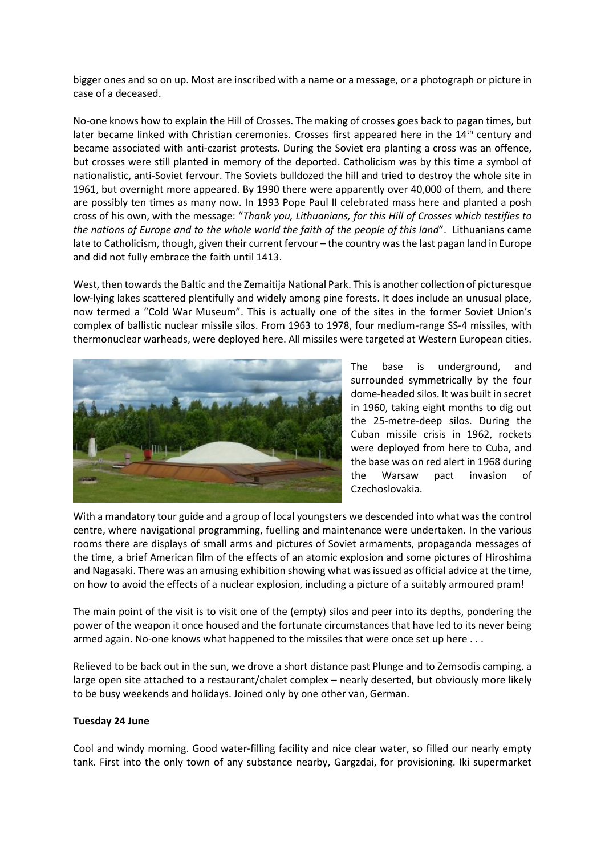bigger ones and so on up. Most are inscribed with a name or a message, or a photograph or picture in case of a deceased.

No-one knows how to explain the Hill of Crosses. The making of crosses goes back to pagan times, but later became linked with Christian ceremonies. Crosses first appeared here in the  $14<sup>th</sup>$  century and became associated with anti-czarist protests. During the Soviet era planting a cross was an offence, but crosses were still planted in memory of the deported. Catholicism was by this time a symbol of nationalistic, anti-Soviet fervour. The Soviets bulldozed the hill and tried to destroy the whole site in 1961, but overnight more appeared. By 1990 there were apparently over 40,000 of them, and there are possibly ten times as many now. In 1993 Pope Paul II celebrated mass here and planted a posh cross of his own, with the message: "*Thank you, Lithuanians, for this Hill of Crosses which testifies to the nations of Europe and to the whole world the faith of the people of this land*". Lithuanians came late to Catholicism, though, given their current fervour – the country was the last pagan land in Europe and did not fully embrace the faith until 1413.

West, then towards the Baltic and the Zemaitija National Park. This is another collection of picturesque low-lying lakes scattered plentifully and widely among pine forests. It does include an unusual place, now termed a "Cold War Museum". This is actually one of the sites in the former Soviet Union's complex of ballistic nuclear missile silos. From 1963 to 1978, four medium-range SS-4 missiles, with thermonuclear warheads, were deployed here. All missiles were targeted at Western European cities.



The base is underground, and surrounded symmetrically by the four dome-headed silos. It was built in secret in 1960, taking eight months to dig out the 25-metre-deep silos. During the Cuban missile crisis in 1962, rockets were deployed from here to Cuba, and the base was on red alert in 1968 during the Warsaw pact invasion of Czechoslovakia.

With a mandatory tour guide and a group of local youngsters we descended into what was the control centre, where navigational programming, fuelling and maintenance were undertaken. In the various rooms there are displays of small arms and pictures of Soviet armaments, propaganda messages of the time, a brief American film of the effects of an atomic explosion and some pictures of Hiroshima and Nagasaki. There was an amusing exhibition showing what was issued as official advice at the time, on how to avoid the effects of a nuclear explosion, including a picture of a suitably armoured pram!

The main point of the visit is to visit one of the (empty) silos and peer into its depths, pondering the power of the weapon it once housed and the fortunate circumstances that have led to its never being armed again. No-one knows what happened to the missiles that were once set up here . . .

Relieved to be back out in the sun, we drove a short distance past Plunge and to Zemsodis camping, a large open site attached to a restaurant/chalet complex – nearly deserted, but obviously more likely to be busy weekends and holidays. Joined only by one other van, German.

# **Tuesday 24 June**

Cool and windy morning. Good water-filling facility and nice clear water, so filled our nearly empty tank. First into the only town of any substance nearby, Gargzdai, for provisioning. Iki supermarket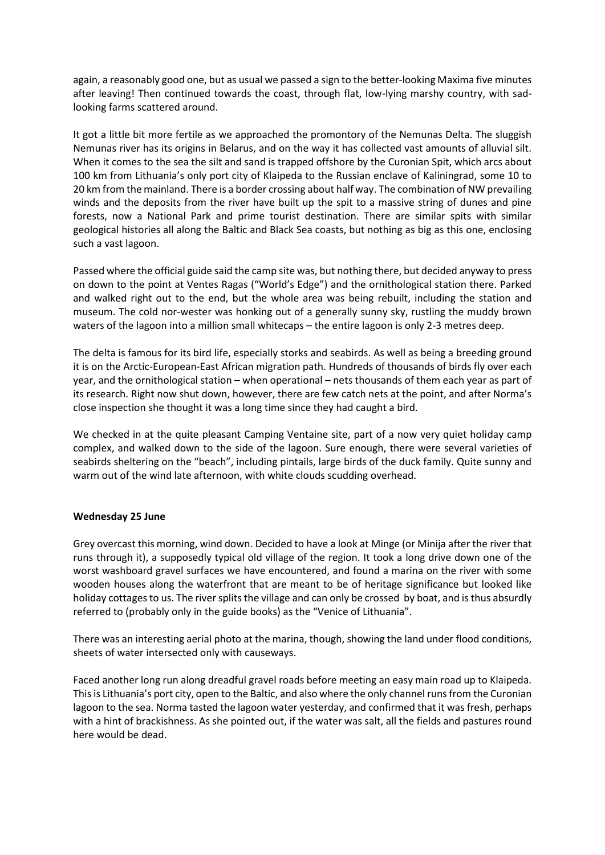again, a reasonably good one, but as usual we passed a sign to the better-looking Maxima five minutes after leaving! Then continued towards the coast, through flat, low-lying marshy country, with sadlooking farms scattered around.

It got a little bit more fertile as we approached the promontory of the Nemunas Delta. The sluggish Nemunas river has its origins in Belarus, and on the way it has collected vast amounts of alluvial silt. When it comes to the sea the silt and sand is trapped offshore by the Curonian Spit, which arcs about 100 km from Lithuania's only port city of Klaipeda to the Russian enclave of Kaliningrad, some 10 to 20 km from the mainland. There is a border crossing about half way. The combination of NW prevailing winds and the deposits from the river have built up the spit to a massive string of dunes and pine forests, now a National Park and prime tourist destination. There are similar spits with similar geological histories all along the Baltic and Black Sea coasts, but nothing as big as this one, enclosing such a vast lagoon.

Passed where the official guide said the camp site was, but nothing there, but decided anyway to press on down to the point at Ventes Ragas ("World's Edge") and the ornithological station there. Parked and walked right out to the end, but the whole area was being rebuilt, including the station and museum. The cold nor-wester was honking out of a generally sunny sky, rustling the muddy brown waters of the lagoon into a million small whitecaps – the entire lagoon is only 2-3 metres deep.

The delta is famous for its bird life, especially storks and seabirds. As well as being a breeding ground it is on the Arctic-European-East African migration path. Hundreds of thousands of birds fly over each year, and the ornithological station – when operational – nets thousands of them each year as part of its research. Right now shut down, however, there are few catch nets at the point, and after Norma's close inspection she thought it was a long time since they had caught a bird.

We checked in at the quite pleasant Camping Ventaine site, part of a now very quiet holiday camp complex, and walked down to the side of the lagoon. Sure enough, there were several varieties of seabirds sheltering on the "beach", including pintails, large birds of the duck family. Quite sunny and warm out of the wind late afternoon, with white clouds scudding overhead.

# **Wednesday 25 June**

Grey overcast this morning, wind down. Decided to have a look at Minge (or Minija after the river that runs through it), a supposedly typical old village of the region. It took a long drive down one of the worst washboard gravel surfaces we have encountered, and found a marina on the river with some wooden houses along the waterfront that are meant to be of heritage significance but looked like holiday cottages to us. The river splits the village and can only be crossed by boat, and is thus absurdly referred to (probably only in the guide books) as the "Venice of Lithuania".

There was an interesting aerial photo at the marina, though, showing the land under flood conditions, sheets of water intersected only with causeways.

Faced another long run along dreadful gravel roads before meeting an easy main road up to Klaipeda. This is Lithuania's port city, open to the Baltic, and also where the only channel runs from the Curonian lagoon to the sea. Norma tasted the lagoon water yesterday, and confirmed that it was fresh, perhaps with a hint of brackishness. As she pointed out, if the water was salt, all the fields and pastures round here would be dead.